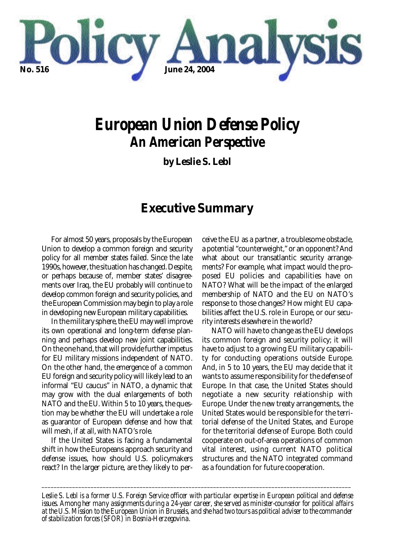

# *European Union Defense Policy An American Perspective*

**by Leslie S. Lebl**

# **Executive Summary**

For almost 50 years, proposals by the European Union to develop a common foreign and security policy for all member states failed. Since the late 1990s, however, the situation has changed. Despite, or perhaps because of, member states' disagreements over Iraq, the EU probably will continue to develop common foreign and security policies, and the European Commission may begin to play a role in developing new European military capabilities.

In the military sphere, the EU may well improve its own operational and long-term defense planning and perhaps develop new joint capabilities. On the one hand, that will provide further impetus for EU military missions independent of NATO. On the other hand, the emergence of a common EU foreign and security policy will likely lead to an informal "EU caucus" in NATO, a dynamic that may grow with the dual enlargements of both NATO and the EU. Within 5 to 10 years, the question may be whether the EU will undertake a role as guarantor of European defense and how that will mesh, if at all, with NATO's role.

If the United States is facing a fundamental shift in how the Europeans approach security and defense issues, how should U.S. policymakers react? In the larger picture, are they likely to per-

ceive the EU as a partner, a troublesome obstacle, a potential "counterweight," or an opponent? And what about our transatlantic security arrangements? For example, what impact would the proposed EU policies and capabilities have on NATO? What will be the impact of the enlarged membership of NATO and the EU on NATO's response to those changes? How might EU capabilities affect the U.S. role in Europe, or our security interests elsewhere in the world?

NATO will have to change as the EU develops its common foreign and security policy; it will have to adjust to a growing EU military capability for conducting operations outside Europe. And, in 5 to 10 years, the EU may decide that it wants to assume responsibility for the defense of Europe. In that case, the United States should negotiate a new security relationship with Europe. Under the new treaty arrangements, the United States would be responsible for the territorial defense of the United States, and Europe for the territorial defense of Europe. Both could cooperate on out-of-area operations of common vital interest, using current NATO political structures and the NATO integrated command as a foundation for future cooperation.

*Leslie S. Lebl is a former U.S. Foreign Service officer with particular expertise in European political and defense issues. Among her many assignments during a 24-year career, she served as minister-counselor for political affairs at the U.S. Mission to the European Union in Brussels, and she had two tours as political adviser to the commander of stabilization forces (SFOR) in Bosnia-Herzegovina.*

*\_\_\_\_\_\_\_\_\_\_\_\_\_\_\_\_\_\_\_\_\_\_\_\_\_\_\_\_\_\_\_\_\_\_\_\_\_\_\_\_\_\_\_\_\_\_\_\_\_\_\_\_\_\_\_\_\_\_\_\_\_\_\_\_\_\_\_\_\_\_\_\_\_\_\_\_\_\_\_\_\_\_\_\_\_\_\_\_\_\_\_\_\_\_\_\_\_\_\_\_\_*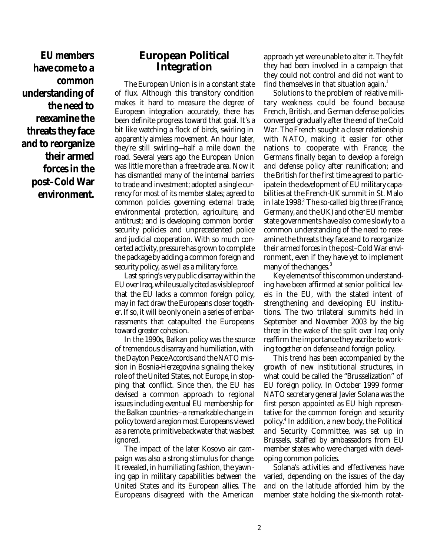**EU members have come to a common understanding of the need to reexamine the threats they face and to reorganize their armed forces in the post–Cold War environment.**

# **European Political Integration**

The European Union is in a constant state of flux. Although this transitory condition makes it hard to measure the degree of European integration accurately, there has been definite progress toward that goal. It's a bit like watching a flock of birds, swirling in apparently aimless movement. An hour later, they're still swirling—half a mile down the road. Several years ago the European Union was little more than a free-trade area. Now it has dismantled many of the internal barriers to trade and investment; adopted a single currency for most of its member states; agreed to common policies governing external trade, environmental protection, agriculture, and antitrust; and is developing common border security policies and unprecedented police and judicial cooperation. With so much concerted activity, pressure has grown to complete the package by adding a common foreign and security policy, as well as a military force.

Last spring's very public disarray within the EU over Iraq, while usually cited as visible proof that the EU lacks a common foreign policy, may in fact draw the Europeans closer together. If so, it will be only one in a series of embarrassments that catapulted the Europeans toward greater cohesion.

In the 1990s, Balkan policy was the source of tremendous disarray and humiliation, with the Dayton Peace Accords and the NATO mission in Bosnia-Herzegovina signaling the key role of the United States, not Europe, in stopping that conflict. Since then, the EU has devised a common approach to regional issues including eventual EU membership for the Balkan countries—a remarkable change in policy toward a region most Europeans viewed as a remote, primitive backwater that was best ignored.

The impact of the later Kosovo air campaign was also a strong stimulus for change. It revealed, in humiliating fashion, the yawning gap in military capabilities between the United States and its European allies. The Europeans disagreed with the American approach yet were unable to alter it. They felt they had been involved in a campaign that they could not control and did not want to find themselves in that situation again.<sup>1</sup>

Solutions to the problem of relative military weakness could be found because French, British, and German defense policies converged gradually after the end of the Cold War. The French sought a closer relationship with NATO, making it easier for other nations to cooperate with France; the Germans finally began to develop a foreign and defense policy after reunification; and the British for the first time agreed to participate in the development of EU military capabilities at the French-UK summit in St. Malo in late  $1998<sup>2</sup>$ . The so-called big three (France, Germany, and the UK) and other EU member state governments have also come slowly to a common understanding of the need to reexamine the threats they face and to reorganize their armed forces in the post–Cold War environment, even if they have yet to implement many of the changes.<sup>3</sup>

Key elements of this common understanding have been affirmed at senior political levels in the EU, with the stated intent of strengthening and developing EU institutions. The two trilateral summits held in September and November 2003 by the big three in the wake of the split over Iraq only reaffirm the importance they ascribe to working together on defense and foreign policy.

This trend has been accompanied by the growth of new institutional structures, in what could be called the "Brusselization" of EU foreign policy. In October 1999 former NATO secretary general Javier Solana was the first person appointed as EU high representative for the common foreign and security policy.<sup>4</sup> In addition, a new body, the Political and Security Committee, was set up in Brussels, staffed by ambassadors from EU member states who were charged with developing common policies.

Solana's activities and effectiveness have varied, depending on the issues of the day and on the latitude afforded him by the member state holding the six-month rotat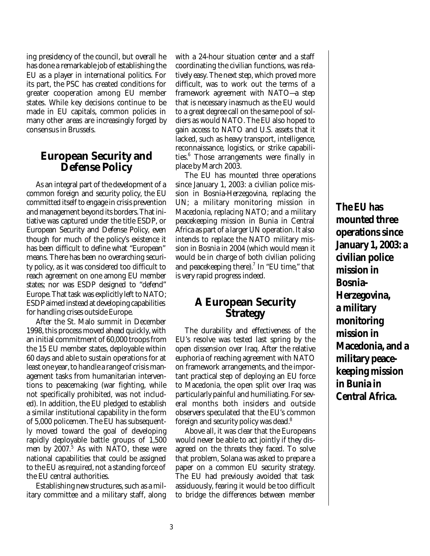ing presidency of the council, but overall he has done a remarkable job of establishing the EU as a player in international politics. For its part, the PSC has created conditions for greater cooperation among EU member states. While key decisions continue to be made in EU capitals, common policies in many other areas are increasingly forged by consensus in Brussels.

#### **European Security and Defense Policy**

As an integral part of the development of a common foreign and security policy, the EU committed itself to engage in crisis prevention and management beyond its borders. That initiative was captured under the title ESDP, or European Security and Defense Policy, even though for much of the policy's existence it has been difficult to define what "European" means. There has been no overarching security policy, as it was considered too difficult to reach agreement on one among EU member states; nor was ESDP designed to "defend" Europe. That task was explicitly left to NATO; ESDP aimed instead at developing capabilities for handling crises outside Europe.

After the St. Malo summit in December 1998, this process moved ahead quickly, with an initial commitment of 60,000 troops from the 15 EU member states, deployable within 60 days and able to sustain operations for at least one year, to handle a range of crisis management tasks from humanitarian interventions to peacemaking (war fighting, while not specifically prohibited, was not included). In addition, the EU pledged to establish a similar institutional capability in the form of 5,000 policemen. The EU has subsequently moved toward the goal of developing rapidly deployable battle groups of 1,500 men by 2007.<sup>5</sup> As with NATO, these were national capabilities that could be assigned to the EU as required, not a standing force of the EU central authorities.

Establishing new structures, such as a military committee and a military staff, along with a 24-hour situation center and a staff coordinating the civilian functions, was relatively easy. The next step, which proved more difficult, was to work out the terms of a framework agreement with NATO—a step that is necessary inasmuch as the EU would to a great degree call on the same pool of soldiers as would NATO. The EU also hoped to gain access to NATO and U.S. assets that it lacked, such as heavy transport, intelligence, reconnaissance, logistics, or strike capabilities.<sup>6</sup> Those arrangements were finally in place by March 2003.

The EU has mounted three operations since January 1, 2003: a civilian police mission in Bosnia-Herzegovina, replacing the UN; a military monitoring mission in Macedonia, replacing NATO; and a military peacekeeping mission in Bunia in Central Africa as part of a larger UN operation. It also intends to replace the NATO military mission in Bosnia in 2004 (which would mean it would be in charge of both civilian policing and peacekeeping there). $^7$  In "EU time," that is very rapid progress indeed.

# **A European Security Strategy**

The durability and effectiveness of the EU's resolve was tested last spring by the open dissension over Iraq. After the relative euphoria of reaching agreement with NATO on framework arrangements, and the important practical step of deploying an EU force to Macedonia, the open split over Iraq was particularly painful and humiliating. For several months both insiders and outside observers speculated that the EU's common foreign and security policy was dead.<sup>8</sup>

Above all, it was clear that the Europeans would never be able to act jointly if they disagreed on the threats they faced. To solve that problem, Solana was asked to prepare a paper on a common EU security strategy. The EU had previously avoided that task assiduously, fearing it would be too difficult to bridge the differences between member **The EU has mounted three operations since January 1, 2003: a civilian police mission in Bosnia-Herzegovina, a military monitoring mission in Macedonia, and a military peacekeeping mission in Bunia in Central Africa.**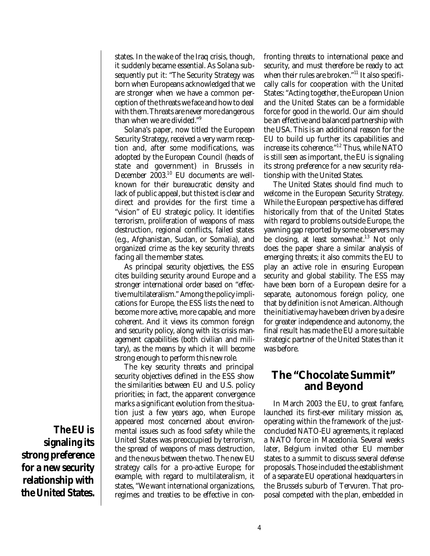states. In the wake of the Iraq crisis, though, it suddenly became essential. As Solana subsequently put it: "The Security Strategy was born when Europeans acknowledged that we are stronger when we have a common perception of the threats we face and how to deal with them. Threats are never more dangerous than when we are divided."<sup>9</sup>

Solana's paper, now titled the European Security Strategy, received a very warm reception and, after some modifications, was adopted by the European Council (heads of state and government) in Brussels in December 2003.<sup>10</sup> EU documents are wellknown for their bureaucratic density and lack of public appeal, but this text is clear and direct and provides for the first time a "vision" of EU strategic policy. It identifies terrorism, proliferation of weapons of mass destruction, regional conflicts, failed states (e.g., Afghanistan, Sudan, or Somalia), and organized crime as the key security threats facing all the member states.

As principal security objectives, the ESS cites building security around Europe and a stronger international order based on "effective multilateralism." Among the policy implications for Europe, the ESS lists the need to become more active, more capable, and more coherent. And it views its common foreign and security policy, along with its crisis management capabilities (both civilian and military), as the means by which it will become strong enough to perform this new role.

The key security threats and principal security objectives defined in the ESS show the similarities between EU and U.S. policy priorities; in fact, the apparent convergence marks a significant evolution from the situation just a few years ago, when Europe appeared most concerned about environmental issues such as food safety while the United States was preoccupied by terrorism, the spread of weapons of mass destruction, and the nexus between the two. The new EU strategy calls for a pro-active Europe; for example, with regard to multilateralism, it states, "We want international organizations, regimes and treaties to be effective in confronting threats to international peace and security, and must therefore be ready to act when their rules are broken."<sup>11</sup> It also specifically calls for cooperation with the United States: "Acting together, the European Union and the United States can be a formidable force for good in the world. Our aim should be an effective and balanced partnership with the USA. This is an additional reason for the EU to build up further its capabilities and increase its coherence."<sup>12</sup> Thus, while NATO is still seen as important, the EU is signaling its strong preference for a new security relationship with the United States.

The United States should find much to welcome in the European Security Strategy. While the European perspective has differed historically from that of the United States with regard to problems outside Europe, the yawning gap reported by some observers may be closing, at least somewhat.<sup>13</sup> Not only does the paper share a similar analysis of emerging threats; it also commits the EU to play an active role in ensuring European security and global stability. The ESS may have been born of a European desire for a separate, autonomous foreign policy, one that by definition is not American. Although the initiative may have been driven by a desire for greater independence and autonomy, the final result has made the EU a more suitable strategic partner of the United States than it was before.

# **The "Chocolate Summit" and Beyond**

In March 2003 the EU, to great fanfare, launched its first-ever military mission as, operating within the framework of the justconcluded NATO-EU agreements, it replaced a NATO force in Macedonia. Several weeks later, Belgium invited other EU member states to a summit to discuss several defense proposals. Those included the establishment of a separate EU operational headquarters in the Brussels suburb of Tervuren. That proposal competed with the plan, embedded in

**The EU is signaling its strong preference for a new security relationship with the United States.**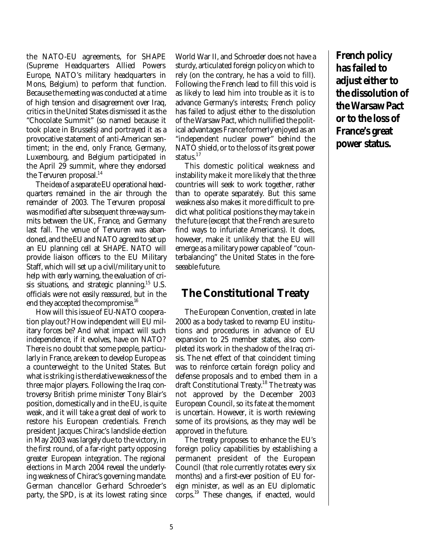the NATO-EU agreements, for SHAPE (Supreme Headquarters Allied Powers Europe, NATO's military headquarters in Mons, Belgium) to perform that function. Because the meeting was conducted at a time of high tension and disagreement over Iraq, critics in the United States dismissed it as the "Chocolate Summit" (so named because it took place in Brussels) and portrayed it as a provocative statement of anti-American sentiment; in the end, only France, Germany, Luxembourg, and Belgium participated in the April 29 summit, where they endorsed the Tervuren proposal.<sup>14</sup>

The idea of a separate EU operational headquarters remained in the air through the remainder of 2003. The Tervuren proposal was modified after subsequent three-way summits between the UK, France, and Germany last fall. The venue of Tervuren was abandoned, and the EU and NATO agreed to set up an EU planning cell at SHAPE. NATO will provide liaison officers to the EU Military Staff, which will set up a civil/military unit to help with early warning, the evaluation of crisis situations, and strategic planning.<sup>15</sup> U.S. officials were not easily reassured, but in the end they accepted the compromise.<sup>16</sup>

How will this issue of EU-NATO cooperation play out? How independent will EU military forces be? And what impact will such independence, if it evolves, have on NATO? There is no doubt that some people, particularly in France, are keen to develop Europe as a counterweight to the United States. But what is striking is the relative weakness of the three major players. Following the Iraq controversy British prime minister Tony Blair's position, domestically and in the EU, is quite weak, and it will take a great deal of work to restore his European credentials. French president Jacques Chirac's landslide election in May 2003 was largely due to the victory, in the first round, of a far-right party opposing greater European integration. The regional elections in March 2004 reveal the underlying weakness of Chirac's governing mandate. German chancellor Gerhard Schroeder's party, the SPD, is at its lowest rating since

World War II, and Schroeder does not have a sturdy, articulated foreign policy on which to rely (on the contrary, he has a void to fill). Following the French lead to fill this void is as likely to lead him into trouble as it is to advance Germany's interests; French policy has failed to adjust either to the dissolution of the Warsaw Pact, which nullified the political advantages France formerly enjoyed as an "independent nuclear power" behind the NATO shield, or to the loss of its great power status.<sup>17</sup>

This domestic political weakness and instability make it more likely that the three countries will seek to work together, rather than to operate separately. But this same weakness also makes it more difficult to predict what political positions they may take in the future (except that the French are sure to find ways to infuriate Americans). It does, however, make it unlikely that the EU will emerge as a military power capable of "counterbalancing" the United States in the foreseeable future.

# **The Constitutional Treaty**

The European Convention, created in late 2000 as a body tasked to revamp EU institutions and procedures in advance of EU expansion to 25 member states, also completed its work in the shadow of the Iraq crisis. The net effect of that coincident timing was to reinforce certain foreign policy and defense proposals and to embed them in a draft Constitutional Treaty.<sup>18</sup> The treaty was not approved by the December 2003 European Council, so its fate at the moment is uncertain. However, it is worth reviewing some of its provisions, as they may well be approved in the future.

The treaty proposes to enhance the EU's foreign policy capabilities by establishing a permanent president of the European Council (that role currently rotates every six months) and a first-ever position of EU foreign minister, as well as an EU diplomatic corps.<sup>19</sup> These changes, if enacted, would

**French policy has failed to adjust either to the dissolution of the Warsaw Pact or to the loss of France's great power status.**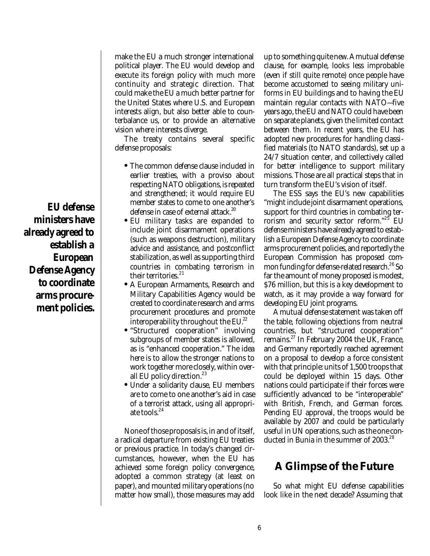make the EU a much stronger international political player. The EU would develop and execute its foreign policy with much more continuity and strategic direction. That could make the EU a much better partner for the United States where U.S. and European interests align, but also better able to counterbalance us, or to provide an alternative vision where interests diverge.

The treaty contains several specific defense proposals:

- The common defense clause included in earlier treaties, with a proviso about respecting NATO obligations, is repeated and strengthened; it would require EU member states to come to one another's defense in case of external attack.<sup>20</sup>
- EU military tasks are expanded to include joint disarmament operations (such as weapons destruction), military advice and assistance, and postconflict stabilization, as well as supporting third countries in combating terrorism in their territories. $^{21}$
- A European Armaments, Research and Military Capabilities Agency would be created to coordinate research and arms procurement procedures and promote interoperability throughout the  $EU^{22}$ .
- "Structured cooperation" involving subgroups of member states is allowed, as is "enhanced cooperation." The idea here is to allow the stronger nations to work together more closely, within overall EU policy direction.<sup>23</sup>
- Under a solidarity clause, EU members are to come to one another's aid in case of a terrorist attack, using all appropriate tools.<sup>24</sup>

None of those proposals is, in and of itself, a radical departure from existing EU treaties or previous practice. In today's changed circumstances, however, when the EU has achieved some foreign policy convergence, adopted a common strategy (at least on paper), and mounted military operations (no matter how small), those measures may add

up to something quite new. A mutual defense clause, for example, looks less improbable (even if still quite remote) once people have become accustomed to seeing military uniforms in EU buildings and to having the EU maintain regular contacts with NATO—five years ago, the EU and NATO could have been on separate planets, given the limited contact between them. In recent years, the EU has adopted new procedures for handling classified materials (to NATO standards), set up a 24/7 situation center, and collectively called for better intelligence to support military missions. Those are all practical steps that in turn transform the EU's vision of itself.

The ESS says the EU's new capabilities "might include joint disarmament operations, support for third countries in combating terrorism and security sector reform."<sup>25</sup> EU defense ministers have already agreed to establish a European Defense Agency to coordinate arms procurement policies, and reportedly the European Commission has proposed common funding for defense-related research.<sup>26</sup> So far the amount of money proposed is modest, \$76 million, but this is a key development to watch, as it may provide a way forward for developing EU joint programs.

A mutual defense statement was taken off the table, following objections from neutral countries, but "structured cooperation" remains.<sup>27</sup> In February 2004 the UK, France, and Germany reportedly reached agreement on a proposal to develop a force consistent with that principle: units of 1,500 troops that could be deployed within 15 days. Other nations could participate if their forces were sufficiently advanced to be "interoperable" with British, French, and German forces. Pending EU approval, the troops would be available by 2007 and could be particularly useful in UN operations, such as the one conducted in Bunia in the summer of 2003.<sup>28</sup>

# **A Glimpse of the Future**

So what might EU defense capabilities look like in the next decade? Assuming that

**EU defense ministers have already agreed to establish a European Defense Agency to coordinate arms procurement policies.**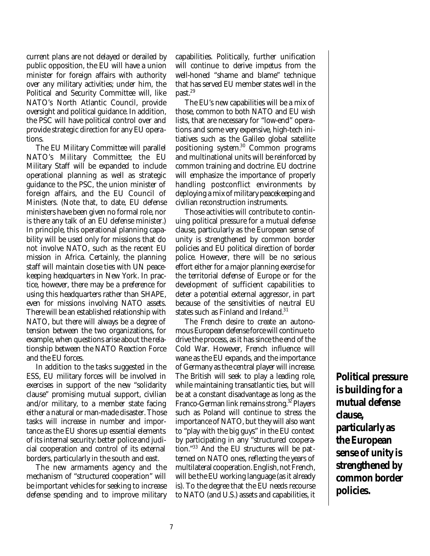current plans are not delayed or derailed by public opposition, the EU will have a union minister for foreign affairs with authority over any military activities; under him, the Political and Security Committee will, like NATO's North Atlantic Council, provide oversight and political guidance. In addition, the PSC will have political control over and provide strategic direction for any EU operations.

The EU Military Committee will parallel NATO's Military Committee; the EU Military Staff will be expanded to include operational planning as well as strategic guidance to the PSC, the union minister of foreign affairs, and the EU Council of Ministers. (Note that, to date, EU defense ministers have been given no formal role, nor is there any talk of an EU defense minister.) In principle, this operational planning capability will be used only for missions that do not involve NATO, such as the recent EU mission in Africa. Certainly, the planning staff will maintain close ties with UN peacekeeping headquarters in New York. In practice, however, there may be a preference for using this headquarters rather than SHAPE, even for missions involving NATO assets. There will be an established relationship with NATO, but there will always be a degree of tension between the two organizations, for example, when questions arise about the relationship between the NATO Reaction Force and the EU forces.

In addition to the tasks suggested in the ESS, EU military forces will be involved in exercises in support of the new "solidarity clause" promising mutual support, civilian and/or military, to a member state facing either a natural or man-made disaster. Those tasks will increase in number and importance as the EU shores up essential elements of its internal security: better police and judicial cooperation and control of its external borders, particularly in the south and east.

The new armaments agency and the mechanism of "structured cooperation" will be important vehicles for seeking to increase defense spending and to improve military capabilities. Politically, further unification will continue to derive impetus from the well-honed "shame and blame" technique that has served EU member states well in the past.<sup>29</sup>

The EU's new capabilities will be a mix of those, common to both NATO and EU wish lists, that are necessary for "low-end" operations and some very expensive, high-tech initiatives such as the Galileo global satellite positioning system.<sup>30</sup> Common programs and multinational units will be reinforced by common training and doctrine. EU doctrine will emphasize the importance of properly handling postconflict environments by deploying a mix of military peacekeeping and civilian reconstruction instruments.

Those activities will contribute to continuing political pressure for a mutual defense clause, particularly as the European sense of unity is strengthened by common border policies and EU political direction of border police. However, there will be no serious effort either for a major planning exercise for the territorial defense of Europe or for the development of sufficient capabilities to deter a potential external aggressor, in part because of the sensitivities of neutral EU states such as Finland and Ireland.<sup>31</sup>

The French desire to create an autonomous European defense force will continue to drive the process, as it has since the end of the Cold War. However, French influence will wane as the EU expands, and the importance of Germany as the central player will increase. The British will seek to play a leading role, while maintaining transatlantic ties, but will be at a constant disadvantage as long as the Franco-German link remains strong.<sup>32</sup> Players such as Poland will continue to stress the importance of NATO, but they will also want to "play with the big guys" in the EU context by participating in any "structured cooperation."<sup>33</sup> And the EU structures will be patterned on NATO ones, reflecting the years of multilateral cooperation. English, not French, will be the EU working language (as it already is). To the degree that the EU needs recourse to NATO (and U.S.) assets and capabilities, it

**Political pressure is building for a mutual defense clause, particularly as the European sense of unity is strengthened by common border policies.**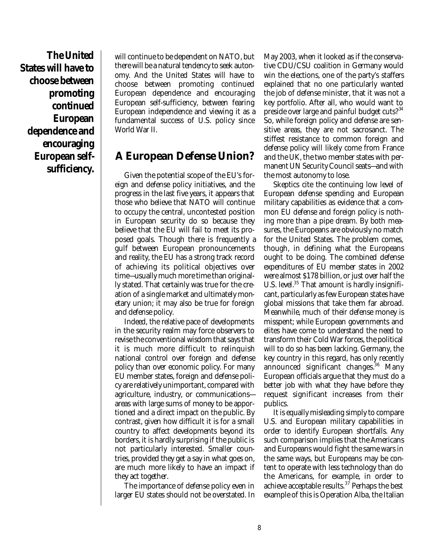**The United States will have to choose between promoting continued European dependence and encouraging European selfsufficiency.**

will continue to be dependent on NATO, but there will be a natural tendency to seek autonomy. And the United States will have to choose between promoting continued European dependence and encouraging European self-sufficiency, between fearing European independence and viewing it as a fundamental success of U.S. policy since World War II.

# **A European Defense Union?**

Given the potential scope of the EU's foreign and defense policy initiatives, and the progress in the last five years, it appears that those who believe that NATO will continue to occupy the central, uncontested position in European security do so because they believe that the EU will fail to meet its proposed goals. Though there is frequently a gulf between European pronouncements and reality, the EU has a strong track record of achieving its political objectives over time—usually much more time than originally stated. That certainly was true for the creation of a single market and ultimately monetary union; it may also be true for foreign and defense policy.

Indeed, the relative pace of developments in the security realm may force observers to revise the conventional wisdom that says that it is much more difficult to relinquish national control over foreign and defense policy than over economic policy. For many EU member states, foreign and defense policy are relatively unimportant, compared with agriculture, industry, or communications areas with large sums of money to be apportioned and a direct impact on the public. By contrast, given how difficult it is for a small country to affect developments beyond its borders, it is hardly surprising if the public is not particularly interested. Smaller countries, provided they get a say in what goes on, are much more likely to have an impact if they act together.

The importance of defense policy even in larger EU states should not be overstated. In May 2003, when it looked as if the conservative CDU/CSU coalition in Germany would win the elections, one of the party's staffers explained that no one particularly wanted the job of defense minister, that it was not a key portfolio. After all, who would want to preside over large and painful budget cuts?<sup>34</sup> So, while foreign policy and defense are sensitive areas, they are not sacrosanct. The stiffest resistance to common foreign and defense policy will likely come from France and the UK, the two member states with permanent UN Security Council seats—and with the most autonomy to lose.

Skeptics cite the continuing low level of European defense spending and European military capabilities as evidence that a common EU defense and foreign policy is nothing more than a pipe dream. By both measures, the Europeans are obviously no match for the United States. The problem comes, though, in defining what the Europeans ought to be doing. The combined defense expenditures of EU member states in 2002 were almost \$178 billion, or just over half the U.S. level.<sup>35</sup> That amount is hardly insignificant, particularly as few European states have global missions that take them far abroad. Meanwhile, much of their defense money is misspent; while European governments and elites have come to understand the need to transform their Cold War forces, the political will to do so has been lacking. Germany, the key country in this regard, has only recently announced significant changes.<sup>36</sup> Many European officials argue that they must do a better job with what they have before they request significant increases from their publics.

It is equally misleading simply to compare U.S. and European military capabilities in order to identify European shortfalls. Any such comparison implies that the Americans and Europeans would fight the same wars in the same ways, but Europeans may be content to operate with less technology than do the Americans, for example, in order to achieve acceptable results. $37$  Perhaps the best example of this is Operation Alba, the Italian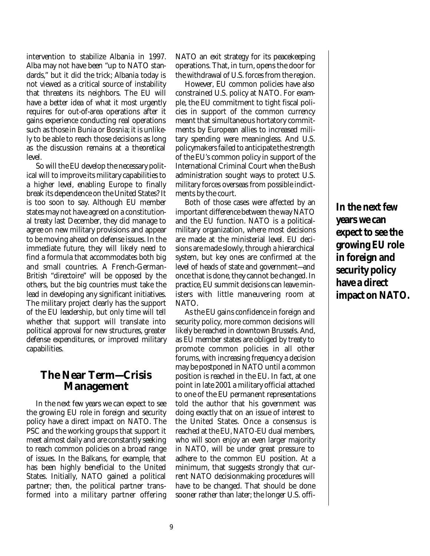intervention to stabilize Albania in 1997. Alba may not have been "up to NATO standards," but it did the trick; Albania today is not viewed as a critical source of instability that threatens its neighbors. The EU will have a better idea of what it most urgently requires for out-of-area operations after it gains experience conducting real operations such as those in Bunia or Bosnia; it is unlikely to be able to reach those decisions as long as the discussion remains at a theoretical level.

So will the EU develop the necessary political will to improve its military capabilities to a higher level, enabling Europe to finally break its dependence on the United States? It is too soon to say. Although EU member states may not have agreed on a constitutional treaty last December, they did manage to agree on new military provisions and appear to be moving ahead on defense issues. In the immediate future, they will likely need to find a formula that accommodates both big and small countries. A French-German-British "directoire" will be opposed by the others, but the big countries must take the lead in developing any significant initiatives. The military project clearly has the support of the EU leadership, but only time will tell whether that support will translate into political approval for new structures, greater defense expenditures, or improved military capabilities.

### **The Near Term—Crisis Management**

In the next few years we can expect to see the growing EU role in foreign and security policy have a direct impact on NATO. The PSC and the working groups that support it meet almost daily and are constantly seeking to reach common policies on a broad range of issues. In the Balkans, for example, that has been highly beneficial to the United States. Initially, NATO gained a political partner; then, the political partner transformed into a military partner offering NATO an exit strategy for its peacekeeping operations. That, in turn, opens the door for the withdrawal of U.S. forces from the region.

However, EU common policies have also constrained U.S. policy at NATO. For example, the EU commitment to tight fiscal policies in support of the common currency meant that simultaneous hortatory commitments by European allies to increased military spending were meaningless. And U.S. policymakers failed to anticipate the strength of the EU's common policy in support of the International Criminal Court when the Bush administration sought ways to protect U.S. military forces overseas from possible indictments by the court.

Both of those cases were affected by an important difference between the way NATO and the EU function. NATO is a politicalmilitary organization, where most decisions are made at the ministerial level. EU decisions are made slowly, through a hierarchical system, but key ones are confirmed at the level of heads of state and government—and once that is done, they cannot be changed. In practice, EU summit decisions can leave ministers with little maneuvering room at NATO.

As the EU gains confidence in foreign and security policy, more common decisions will likely be reached in downtown Brussels. And, as EU member states are obliged by treaty to promote common policies in all other forums, with increasing frequency a decision may be postponed in NATO until a common position is reached in the EU. In fact, at one point in late 2001 a military official attached to one of the EU permanent representations told the author that his government was doing exactly that on an issue of interest to the United States. Once a consensus is reached at the EU, NATO-EU dual members, who will soon enjoy an even larger majority in NATO, will be under great pressure to adhere to the common EU position. At a minimum, that suggests strongly that current NATO decisionmaking procedures will have to be changed. That should be done sooner rather than later; the longer U.S. offi**In the next few years we can expect to see the growing EU role in foreign and security policy have a direct impact on NATO.**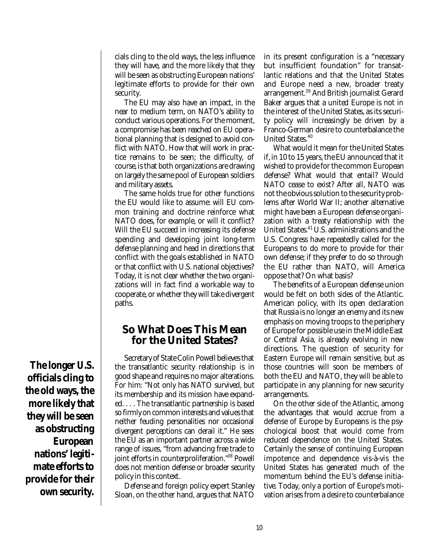cials cling to the old ways, the less influence they will have, and the more likely that they will be seen as obstructing European nations' legitimate efforts to provide for their own security.

The EU may also have an impact, in the near to medium term, on NATO's ability to conduct various operations. For the moment, a compromise has been reached on EU operational planning that is designed to avoid conflict with NATO. How that will work in practice remains to be seen; the difficulty, of course, is that both organizations are drawing on largely the same pool of European soldiers and military assets.

The same holds true for other functions the EU would like to assume: will EU common training and doctrine reinforce what NATO does, for example, or will it conflict? Will the EU succeed in increasing its defense spending and developing joint long-term defense planning and head in directions that conflict with the goals established in NATO or that conflict with U.S. national objectives? Today, it is not clear whether the two organizations will in fact find a workable way to cooperate, or whether they will take divergent paths.

# **So What Does This Mean for the United States?**

Secretary of State Colin Powell believes that the transatlantic security relationship is in good shape and requires no major alterations. For him: "Not only has NATO survived, but its membership and its mission have expanded. . . . The transatlantic partnership is based so firmly on common interests and values that neither feuding personalities nor occasional divergent perceptions can derail it." He sees the EU as an important partner across a wide range of issues, "from advancing free trade to joint efforts in counterproliferation."<sup>38</sup> Powell does not mention defense or broader security policy in this context.

Defense and foreign policy expert Stanley Sloan, on the other hand, argues that NATO in its present configuration is a "necessary but insufficient foundation" for transatlantic relations and that the United States and Europe need a new, broader treaty arrangement.<sup>39</sup> And British journalist Gerard Baker argues that a united Europe is not in the interest of the United States, as its security policy will increasingly be driven by a Franco-German desire to counterbalance the United States.<sup>40</sup>

What would it mean for the United States if, in 10 to 15 years, the EU announced that it wished to provide for the common European defense? What would that entail? Would NATO cease to exist? After all, NATO was not the obvious solution to the security problems after World War II; another alternative might have been a European defense organization with a treaty relationship with the United States.<sup>41</sup> U.S. administrations and the U.S. Congress have repeatedly called for the Europeans to do more to provide for their own defense; if they prefer to do so through the EU rather than NATO, will America oppose that? On what basis?

The benefits of a European defense union would be felt on both sides of the Atlantic. American policy, with its open declaration that Russia is no longer an enemy and its new emphasis on moving troops to the periphery of Europe for possible use in the Middle East or Central Asia, is already evolving in new directions. The question of security for Eastern Europe will remain sensitive, but as those countries will soon be members of both the EU and NATO, they will be able to participate in any planning for new security arrangements.

On the other side of the Atlantic, among the advantages that would accrue from a defense of Europe by Europeans is the psychological boost that would come from reduced dependence on the United States. Certainly the sense of continuing European impotence and dependence vis-à-vis the United States has generated much of the momentum behind the EU's defense initiative. Today, only a portion of Europe's motivation arises from a desire to counterbalance

**The longer U.S. officials cling to the old ways, the more likely that they will be seen as obstructing European nations' legitimate efforts to provide for their own security.**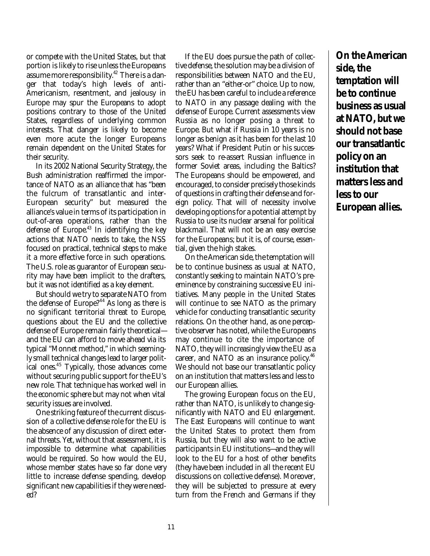or compete with the United States, but that portion is likely to rise unless the Europeans assume more responsibility.<sup>42</sup> There is a danger that today's high levels of anti-Americanism, resentment, and jealousy in Europe may spur the Europeans to adopt positions contrary to those of the United States, regardless of underlying common interests. That danger is likely to become even more acute the longer Europeans remain dependent on the United States for their security.

In its 2002 National Security Strategy, the Bush administration reaffirmed the importance of NATO as an alliance that has "been the fulcrum of transatlantic and inter-European security" but measured the alliance's value in terms of its participation in out-of-area operations, rather than the defense of Europe.<sup>43</sup> In identifying the key actions that NATO needs to take, the NSS focused on practical, technical steps to make it a more effective force in such operations. The U.S. role as guarantor of European security may have been implicit to the drafters, but it was not identified as a key element.

But should we try to separate NATO from the defense of Europe?<sup>44</sup> As long as there is no significant territorial threat to Europe, questions about the EU and the collective defense of Europe remain fairly theoretical and the EU can afford to move ahead via its typical "Monnet method," in which seemingly small technical changes lead to larger political ones.<sup>45</sup> Typically, those advances come without securing public support for the EU's new role. That technique has worked well in the economic sphere but may not when vital security issues are involved.

One striking feature of the current discussion of a collective defense role for the EU is the absence of any discussion of direct external threats. Yet, without that assessment, it is impossible to determine what capabilities would be required. So how would the EU, whose member states have so far done very little to increase defense spending, develop significant new capabilities if they were needed?

If the EU does pursue the path of collective defense, the solution may be a division of responsibilities between NATO and the EU, rather than an "either-or" choice. Up to now, the EU has been careful to include a reference to NATO in any passage dealing with the defense of Europe. Current assessments view Russia as no longer posing a threat to Europe. But what if Russia in 10 years is no longer as benign as it has been for the last 10 years? What if President Putin or his successors seek to re-assert Russian influence in former Soviet areas, including the Baltics? The Europeans should be empowered, and encouraged, to consider precisely those kinds of questions in crafting their defense and foreign policy. That will of necessity involve developing options for a potential attempt by Russia to use its nuclear arsenal for political blackmail. That will not be an easy exercise for the Europeans; but it is, of course, essential, given the high stakes.

On the American side, the temptation will be to continue business as usual at NATO, constantly seeking to maintain NATO's preeminence by constraining successive EU initiatives. Many people in the United States will continue to see NATO as the primary vehicle for conducting transatlantic security relations. On the other hand, as one perceptive observer has noted, while the Europeans may continue to cite the importance of NATO, they will increasingly view the EU as a career, and NATO as an insurance policy.<sup>46</sup> We should not base our transatlantic policy on an institution that matters less and less to our European allies.

The growing European focus on the EU, rather than NATO, is unlikely to change significantly with NATO and EU enlargement. The East Europeans will continue to want the United States to protect them from Russia, but they will also want to be active participants in EU institutions—and they will look to the EU for a host of other benefits (they have been included in all the recent EU discussions on collective defense). Moreover, they will be subjected to pressure at every turn from the French and Germans if they

**On the American side, the temptation will be to continue business as usual at NATO, but we should not base our transatlantic policy on an institution that matters less and less to our European allies.**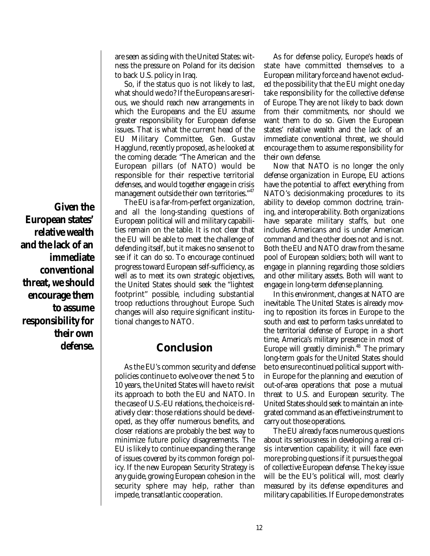are seen as siding with the United States: witness the pressure on Poland for its decision to back U.S. policy in Iraq.

So, if the status quo is not likely to last, what should we do? If the Europeans are serious, we should reach new arrangements in which the Europeans and the EU assume greater responsibility for European defense issues. That is what the current head of the EU Military Committee, Gen. Gustav Hagglund, recently proposed, as he looked at the coming decade: "The American and the European pillars (of NATO) would be responsible for their respective territorial defenses, and would together engage in crisis management outside their own territories."<sup>47</sup>

The EU is a far-from-perfect organization, and all the long-standing questions of European political will and military capabilities remain on the table. It is not clear that the EU will be able to meet the challenge of defending itself, but it makes no sense not to see if it can do so. To encourage continued progress toward European self-sufficiency, as well as to meet its own strategic objectives, the United States should seek the "lightest footprint" possible, including substantial troop reductions throughout Europe. Such changes will also require significant institutional changes to NATO.

# **Conclusion**

As the EU's common security and defense policies continue to evolve over the next 5 to 10 years, the United States will have to revisit its approach to both the EU and NATO. In the case of U.S.-EU relations, the choice is relatively clear: those relations should be developed, as they offer numerous benefits, and closer relations are probably the best way to minimize future policy disagreements. The EU is likely to continue expanding the range of issues covered by its common foreign policy. If the new European Security Strategy is any guide, growing European cohesion in the security sphere may help, rather than impede, transatlantic cooperation.

As for defense policy, Europe's heads of state have committed themselves to a European military force and have not excluded the possibility that the EU might one day take responsibility for the collective defense of Europe. They are not likely to back down from their commitments, nor should we want them to do so. Given the European states' relative wealth and the lack of an immediate conventional threat, we should encourage them to assume responsibility for their own defense.

Now that NATO is no longer the only defense organization in Europe, EU actions have the potential to affect everything from NATO's decisionmaking procedures to its ability to develop common doctrine, training, and interoperability. Both organizations have separate military staffs, but one includes Americans and is under American command and the other does not and is not. Both the EU and NATO draw from the same pool of European soldiers; both will want to engage in planning regarding those soldiers and other military assets. Both will want to engage in long-term defense planning.

In this environment, changes at NATO are inevitable. The United States is already moving to reposition its forces in Europe to the south and east to perform tasks unrelated to the territorial defense of Europe; in a short time, America's military presence in most of Europe will greatly diminish.<sup>48</sup> The primary long-term goals for the United States should be to ensure continued political support within Europe for the planning and execution of out-of-area operations that pose a mutual threat to U.S. and European security. The United States should seek to maintain an integrated command as an effective instrument to carry out those operations.

The EU already faces numerous questions about its seriousness in developing a real crisis intervention capability; it will face even more probing questions if it pursues the goal of collective European defense. The key issue will be the EU's political will, most clearly measured by its defense expenditures and military capabilities. If Europe demonstrates

**Given the European states' relative wealth and the lack of an immediate conventional threat, we should encourage them to assume responsibility for their own defense.**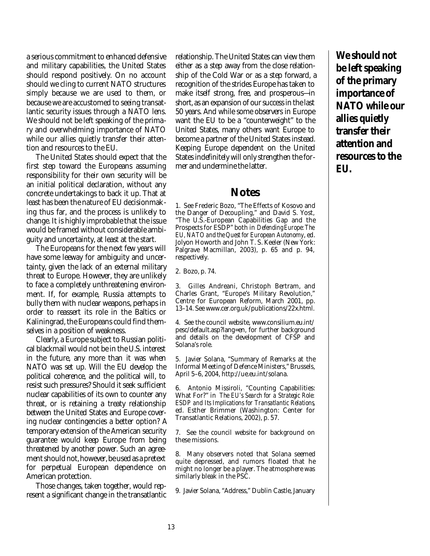a serious commitment to enhanced defensive and military capabilities, the United States should respond positively. On no account should we cling to current NATO structures simply because we are used to them, or because we are accustomed to seeing transatlantic security issues through a NATO lens. We should not be left speaking of the primary and overwhelming importance of NATO while our allies quietly transfer their attention and resources to the EU.

The United States should expect that the first step toward the Europeans assuming responsibility for their own security will be an initial political declaration, without any concrete undertakings to back it up. That at least has been the nature of EU decisionmaking thus far, and the process is unlikely to change. It is highly improbable that the issue would be framed without considerable ambiguity and uncertainty, at least at the start.

The Europeans for the next few years will have some leeway for ambiguity and uncertainty, given the lack of an external military threat to Europe. However, they are unlikely to face a completely unthreatening environment. If, for example, Russia attempts to bully them with nuclear weapons, perhaps in order to reassert its role in the Baltics or Kaliningrad, the Europeans could find themselves in a position of weakness.

Clearly, a Europe subject to Russian political blackmail would not be in the U.S. interest in the future, any more than it was when NATO was set up. Will the EU develop the political coherence, and the political will, to resist such pressures? Should it seek sufficient nuclear capabilities of its own to counter any threat, or is retaining a treaty relationship between the United States and Europe covering nuclear contingencies a better option? A temporary extension of the American security guarantee would keep Europe from being threatened by another power. Such an agreement should not, however, be used as a pretext for perpetual European dependence on American protection.

Those changes, taken together, would represent a significant change in the transatlantic relationship. The United States can view them either as a step away from the close relationship of the Cold War or as a step forward, a recognition of the strides Europe has taken to make itself strong, free, and prosperous—in short, as an expansion of our success in the last 50 years. And while some observers in Europe want the EU to be a "counterweight" to the United States, many others want Europe to become a partner of the United States instead. Keeping Europe dependent on the United States indefinitely will only strengthen the former and undermine the latter.

#### **Notes**

1. See Frederic Bozo, "The Effects of Kosovo and the Danger of Decoupling," and David S. Yost, "The U.S.-European Capabilities Gap and the Prospects for ESDP" both in *Defending Europe: The EU, NATO and the Quest for European Autonomy*, ed. Jolyon Howorth and John T. S. Keeler (New York: Palgrave Macmillan, 2003), p. 65 and p. 94, respectively.

2. Bozo, p. 74.

3. Gilles Andreani, Christoph Bertram, and Charles Grant, "Europe's Military Revolution," Centre for European Reform, March 2001, pp. 13–14. See www.cer.org.uk/publications/22x.html.

4. See the council website, www.consilium.eu.int/ pesc/default.asp?lang=en, for further background and details on the development of CFSP and Solana's role.

5. Javier Solana, "Summary of Remarks at the Informal Meeting of Defence Ministers," Brussels, April 5–6, 2004, http://ue.eu.int/solana.

6. Antonio Missiroli, "Counting Capabilities: What For?" in *The EU's Search for a Strategic Role: ESDP and Its Implications for Transatlantic Relations*, ed. Esther Brimmer (Washington: Center for Transatlantic Relations, 2002), p. 57.

7. See the council website for background on these missions.

8. Many observers noted that Solana seemed quite depressed, and rumors floated that he might no longer be a player. The atmosphere was similarly bleak in the PSC.

9. Javier Solana, "Address," Dublin Castle, January

**We should not be left speaking of the primary importance of NATO while our allies quietly transfer their attention and resources to the EU.**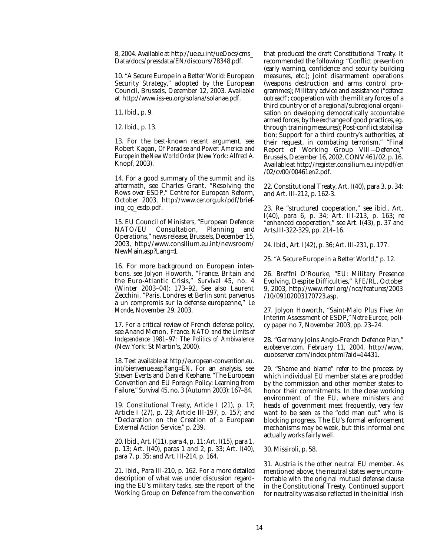8, 2004. Available at http://ue.eu.int/ueDocs/cms\_ Data/docs/pressdata/EN/discours/78348.pdf.

10. "A Secure Europe in a Better World: European Security Strategy," adopted by the European Council, Brussels, December 12, 2003. Available at http://www.iss-eu.org/solana/solanae.pdf.

11. Ibid., p. 9.

12. Ibid., p. 13.

13. For the best-known recent argument, see Robert Kagan, *Of Paradise and Power: America and Europe in the New World Order*(New York: Alfred A. Knopf, 2003).

14. For a good summary of the summit and its aftermath, see Charles Grant, "Resolving the Rows over ESDP," Centre for European Reform, October 2003, http://www.cer.org.uk/pdf/briefing\_cg\_esdp.pdf.

15. EU Council of Ministers, "European Defence: NATO/EU Consultation, Planning and Operations," news release, Brussels, December 15, 2003, http://www.consilium.eu.int/newsroom/ NewMain.asp?Lang=1.

16. For more background on European intentions, see Jolyon Howorth, "France, Britain and the Euro-Atlantic Crisis," *Survival* 45, no. 4 (Winter 2003–04): 173–92. See also Laurent Zecchini, "Paris, Londres et Berlin sont parvenus a un compromis sur la defense europeenne," *Le Monde*, November 29, 2003.

17. For a critical review of French defense policy, see Anand Menon, *France, NATO and the Limits of Independence 1981–97: The Politics of Ambivalence* (New York: St Martin's, 2000).

18. Text available at http://european-convention.eu. int/bienvenue.asp?lang=EN. For an analysis, see Steven Everts and Daniel Keohane, "The European Convention and EU Foreign Policy: Learning from Failure," *Survival* 45, no. 3 (Autumn 2003): 167–84.

19. Constitutional Treaty, Article I (21), p. 17; Article I (27), p. 23; Article III-197, p. 157; and "Declaration on the Creation of a European External Action Service," p. 239.

20. Ibid., Art. I(11), para 4, p. 11; Art. I(15), para 1, p. 13; Art. I(40), paras 1 and 2, p. 33; Art. I(40), para 7, p. 35; and Art. III-214, p. 164.

21. Ibid., Para III-210, p. 162. For a more detailed description of what was under discussion regarding the EU's military tasks, see the report of the Working Group on Defence from the convention

that produced the draft Constitutional Treaty. It recommended the following: "Conflict prevention (early warning, confidence and security building measures, etc.); Joint disarmament operations (weapons destruction and arms control programmes); Military advice and assistance ("*defence outreach*"; cooperation with the military forces of a third country or of a regional/subregional organisation on developing democratically accountable armed forces, by the exchange of good practices, eg. through training measures); Post-conflict stabilisation; Support for a third country's authorities, at their request, in combating terrorism." "Final Report of Working Group VIII—Defence," Brussels, December 16, 2002, CONV 461/02, p. 16. Available at http://register.consilium.eu.int/pdf/en /02/cv00/00461en2.pdf.

22. Constitutional Treaty, Art. I(40), para 3, p. 34; and Art. III-212, p. 162-3.

23. Re "structured cooperation," see ibid., Art. I(40), para 6, p. 34; Art. III-213, p. 163; re "enhanced cooperation," see Art. I(43), p. 37 and Arts.III-322-329, pp. 214–16.

24. Ibid., Art. I(42), p. 36; Art. III-231, p. 177.

25. "A Secure Europe in a Better World," p. 12.

26. Breffni O'Rourke, "EU: Military Presence Evolving, Despite Difficulties," *RFE/RL*, October 9, 2003, http://www.rferl.org//nca/features/2003 /10/09102003170723.asp.

27. Jolyon Howorth, "Saint-Malo Plus Five: An Interim Assessment of ESDP," *Notre Europe*, policy paper no 7, November 2003, pp. 23–24.

28. "Germany Joins Anglo-French Defence Plan," *euobserver.com*, February 11, 2004, http://www. euobserver.com/index.phtml?aid=14431.

29. "Shame and blame" refer to the process by which individual EU member states are prodded by the commission and other member states to honor their commitments. In the close working environment of the EU, where ministers and heads of government meet frequently, very few want to be seen as the "odd man out" who is blocking progress. The EU's formal enforcement mechanisms may be weak, but this informal one actually works fairly well.

30. Missiroli, p. 58.

31. Austria is the other neutral EU member. As mentioned above, the neutral states were uncomfortable with the original mutual defense clause in the Constitutional Treaty. Continued support for neutrality was also reflected in the initial Irish